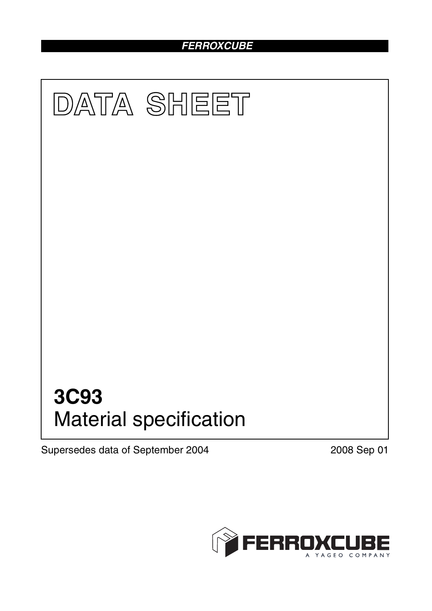# *FERROXCUBE*



Supersedes data of September 2004 2008 Sep 01

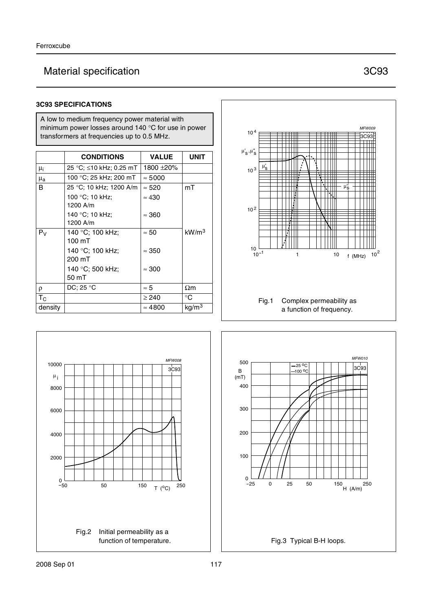# Material specification **3C93**

#### **3C93 SPECIFICATIONS**

A low to medium frequency power material with minimum power losses around 140 °C for use in power transformers at frequencies up to 0.5 MHz.

|                | <b>CONDITIONS</b>                    | <b>VALUE</b>   | UNIT              |
|----------------|--------------------------------------|----------------|-------------------|
| μ <sub>i</sub> | 25 °C; ≤10 kHz; 0.25 mT              | 1800 ±20%      |                   |
| $\mu_{\rm a}$  | 100 °C; 25 kHz; 200 mT               | $\approx 5000$ |                   |
| B              | 25 °C; 10 kHz; 1200 A/m              | $\approx 520$  | mT                |
|                | 100 °C; 10 kHz;<br>1200 A/m          | $\approx 430$  |                   |
|                | 140 °C; 10 kHz;<br>1200 A/m          | $\approx 360$  |                   |
| $P_V$          | 140 °C; 100 kHz;<br>$100 \text{ mT}$ | $\approx 50$   | kW/m <sup>3</sup> |
|                | 140 °C; 100 kHz;<br>200 mT           | $\approx 350$  |                   |
|                | 140 °C; 500 kHz;<br>50 mT            | $\approx 300$  |                   |
| $\rho$         | DC; 25 $\degree$ C                   | $\approx 5$    | $\Omega$ m        |
| $T_{\rm C}$    |                                      | $\geq 240$     | $^{\circ}C$       |
| density        |                                      | $\approx 4800$ | kg/m <sup>3</sup> |





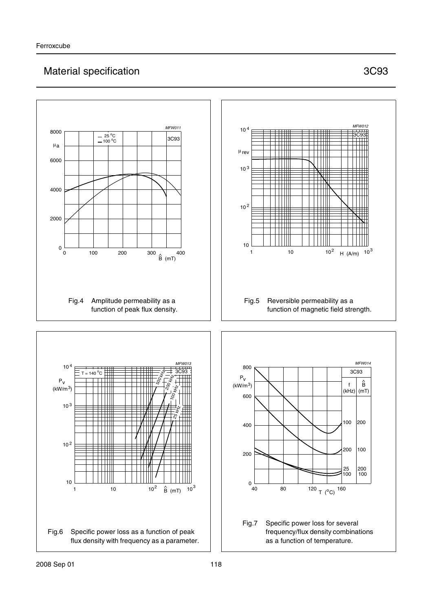# Material specification **3C93**